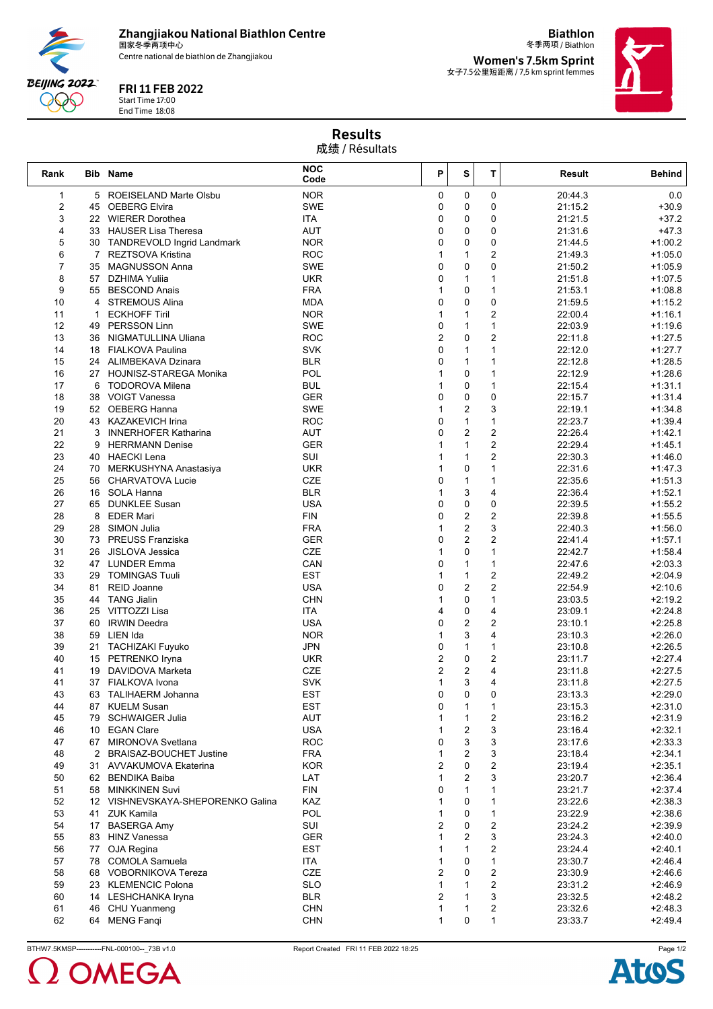**Zhangjiakou National Biathlon Centre** 国家冬季两项中心

Centre national de biathlon de Zhangjiakou

## FRI 11 FEB 2022

Start Time 17:00 End Time 18:08

**BEIJING 2022** 999

冬季两项 / Biathlon **Women's 7.5km Sprint** 女子7.5公里短距离 / 7,5 km sprint femmes

**Biathlon**



## Results 成绩 / Résultats

| Rank         |                | <b>Bib Name</b>                              | <b>NOC</b><br>Code       | P                       | S                       | т                            | Result             | <b>Behind</b>          |
|--------------|----------------|----------------------------------------------|--------------------------|-------------------------|-------------------------|------------------------------|--------------------|------------------------|
| $\mathbf{1}$ |                | 5 ROEISELAND Marte Olsbu                     | <b>NOR</b>               | 0                       | 0                       | 0                            | 20:44.3            | 0.0                    |
| 2            |                | 45 OEBERG Elvira                             | <b>SWE</b>               | 0                       | 0                       | 0                            | 21:15.2            | $+30.9$                |
| 3            |                | 22 WIERER Dorothea                           | ITA                      | 0                       | 0                       | 0                            | 21:21.5            | $+37.2$                |
| 4            |                | 33 HAUSER Lisa Theresa                       | AUT                      | 0                       | 0                       | 0                            | 21:31.6            | $+47.3$                |
| 5            |                | 30 TANDREVOLD Ingrid Landmark                | <b>NOR</b>               | 0                       | 0<br>$\mathbf{1}$       | 0                            | 21:44.5            | $+1:00.2$              |
| 6<br>7       | 35             | 7 REZTSOVA Kristina<br><b>MAGNUSSON Anna</b> | <b>ROC</b><br><b>SWE</b> | $\mathbf{1}$<br>0       | 0                       | 2<br>0                       | 21:49.3<br>21:50.2 | $+1:05.0$<br>$+1:05.9$ |
| 8            |                | 57 DZHIMA Yuliia                             | <b>UKR</b>               | 0                       | $\mathbf{1}$            | $\mathbf{1}$                 | 21:51.8            | $+1:07.5$              |
| 9            |                | 55 BESCOND Anais                             | <b>FRA</b>               | $\mathbf{1}$            | 0                       | $\mathbf{1}$                 | 21:53.1            | $+1:08.8$              |
| 10           | $\overline{4}$ | <b>STREMOUS Alina</b>                        | <b>MDA</b>               | 0                       | 0                       | 0                            | 21:59.5            | $+1:15.2$              |
| 11           | 1              | <b>ECKHOFF Tiril</b>                         | <b>NOR</b>               | $\mathbf{1}$            | $\mathbf{1}$            | 2                            | 22:00.4            | $+1:16.1$              |
| 12           |                | 49 PERSSON Linn                              | <b>SWE</b>               | 0                       | $\mathbf{1}$            | $\mathbf{1}$                 | 22:03.9            | $+1:19.6$              |
| 13           |                | 36 NIGMATULLINA Uliana                       | <b>ROC</b>               | $\overline{2}$          | 0                       | $\overline{2}$               | 22:11.8            | $+1:27.5$              |
| 14           |                | 18 FIALKOVA Paulina                          | <b>SVK</b>               | 0                       | $\mathbf{1}$            | $\mathbf{1}$                 | 22:12.0            | $+1:27.7$              |
| 15           |                | 24 ALIMBEKAVA Dzinara                        | <b>BLR</b>               | 0                       | $\mathbf{1}$            | $\mathbf{1}$                 | 22:12.8            | $+1:28.5$              |
| 16           |                | 27 HOJNISZ-STAREGA Monika                    | POL                      | $\mathbf{1}$            | 0                       | $\mathbf{1}$                 | 22:12.9            | $+1:28.6$              |
| 17           |                | 6 TODOROVA Milena                            | <b>BUL</b>               | $\mathbf{1}$            | 0                       | 1                            | 22:15.4            | $+1:31.1$              |
| 18           |                | 38 VOIGT Vanessa                             | <b>GER</b>               | 0                       | 0                       | 0                            | 22:15.7            | $+1:31.4$              |
| 19           |                | 52 OEBERG Hanna                              | <b>SWE</b>               | $\mathbf{1}$            | $\overline{2}$          | 3                            | 22:19.1            | $+1:34.8$              |
| 20           |                | 43 KAZAKEVICH Irina                          | <b>ROC</b>               | 0                       | $\mathbf{1}$            | $\mathbf{1}$                 | 22:23.7            | $+1:39.4$              |
| 21           |                | 3 INNERHOFER Katharina                       | <b>AUT</b>               | 0                       | $\overline{2}$          | 2                            | 22:26.4            | $+1:42.1$              |
| 22           |                | 9 HERRMANN Denise                            | GER                      | 1                       | $\mathbf{1}$            | 2                            | 22:29.4            | $+1:45.1$              |
| 23           |                | 40 HAECKI Lena                               | SUI                      | 1                       | $\mathbf{1}$            | 2                            | 22:30.3            | $+1:46.0$              |
| 24<br>25     |                | 70 MERKUSHYNA Anastasiya                     | <b>UKR</b>               | $\mathbf{1}$<br>0       | 0<br>$\mathbf{1}$       | $\mathbf{1}$<br>$\mathbf{1}$ | 22:31.6            | $+1:47.3$              |
| 26           |                | 56 CHARVATOVA Lucie<br>16 SOLA Hanna         | CZE<br><b>BLR</b>        | $\mathbf{1}$            | 3                       | 4                            | 22:35.6<br>22:36.4 | $+1:51.3$<br>$+1:52.1$ |
| 27           |                | 65 DUNKLEE Susan                             | <b>USA</b>               | 0                       | $\pmb{0}$               | $\pmb{0}$                    | 22:39.5            | $+1:55.2$              |
| 28           |                | 8 EDER Mari                                  | <b>FIN</b>               | 0                       | $\overline{\mathbf{c}}$ | 2                            | 22:39.8            | $+1:55.5$              |
| 29           |                | 28 SIMON Julia                               | <b>FRA</b>               | $\mathbf{1}$            | $\overline{2}$          | 3                            | 22:40.3            | $+1:56.0$              |
| 30           |                | 73 PREUSS Franziska                          | <b>GER</b>               | 0                       | $\overline{c}$          | 2                            | 22:41.4            | $+1:57.1$              |
| 31           |                | 26 JISLOVA Jessica                           | <b>CZE</b>               | $\mathbf{1}$            | 0                       | $\mathbf{1}$                 | 22:42.7            | $+1:58.4$              |
| 32           |                | 47 LUNDER Emma                               | CAN                      | 0                       | $\mathbf{1}$            | $\mathbf{1}$                 | 22:47.6            | $+2:03.3$              |
| 33           |                | 29 TOMINGAS Tuuli                            | <b>EST</b>               | $\mathbf{1}$            | $\mathbf{1}$            | $\overline{2}$               | 22:49.2            | $+2:04.9$              |
| 34           | 81             | <b>REID Joanne</b>                           | <b>USA</b>               | 0                       | $\overline{2}$          | 2                            | 22:54.9            | $+2:10.6$              |
| 35           |                | 44 TANG Jialin                               | <b>CHN</b>               | $\mathbf{1}$            | 0                       | $\mathbf{1}$                 | 23:03.5            | $+2:19.2$              |
| 36           |                | 25 VITTOZZI Lisa                             | ITA                      | 4                       | 0                       | 4                            | 23:09.1            | $+2:24.8$              |
| 37           |                | 60 IRWIN Deedra                              | <b>USA</b>               | 0                       | $\mathbf 2$             | 2                            | 23:10.1            | $+2:25.8$              |
| 38           |                | 59 LIEN Ida                                  | <b>NOR</b>               | $\mathbf{1}$            | 3                       | 4                            | 23:10.3            | $+2:26.0$              |
| 39           |                | 21 TACHIZAKI Fuyuko                          | <b>JPN</b>               | 0                       | $\mathbf{1}$            | $\mathbf{1}$                 | 23:10.8            | $+2:26.5$              |
| 40           |                | 15 PETRENKO Iryna                            | <b>UKR</b>               | $\overline{c}$          | 0                       | 2                            | 23:11.7            | $+2:27.4$              |
| 41           |                | 19 DAVIDOVA Marketa                          | CZE                      | $\overline{\mathbf{c}}$ | $\overline{\mathbf{c}}$ | 4                            | 23:11.8            | $+2:27.5$              |
| 41           |                | 37 FIALKOVA Ivona                            | <b>SVK</b>               | $\mathbf{1}$            | 3                       | 4                            | 23:11.8            | $+2:27.5$              |
| 43<br>44     |                | 63 TALIHAERM Johanna<br>87 KUELM Susan       | <b>EST</b><br><b>EST</b> | 0<br>0                  | 0                       | 0                            | 23:13.3            | $+2:29.0$<br>$+2:31.0$ |
| 45           |                | 79 SCHWAIGER Julia                           | AUT                      | 1                       | 1<br>$\mathbf{1}$       | 1<br>2                       | 23:15.3<br>23:16.2 | $+2:31.9$              |
| 46           |                | 10 EGAN Clare                                | <b>USA</b>               | 1                       | 2                       | 3                            | 23:16.4            | $+2:32.1$              |
| 47           |                | 67 MIRONOVA Svetlana                         | <b>ROC</b>               | 0                       | 3                       | 3                            | 23:17.6            | $+2:33.3$              |
| 48           |                | 2 BRAISAZ-BOUCHET Justine                    | <b>FRA</b>               | $\mathbf{1}$            | $\overline{2}$          | 3                            | 23:18.4            | $+2:34.1$              |
| 49           |                | 31 AVVAKUMOVA Ekaterina                      | <b>KOR</b>               | $\overline{2}$          | 0                       | 2                            | 23:19.4            | $+2:35.1$              |
| 50           |                | 62 BENDIKA Baiba                             | LAT                      | $\mathbf{1}$            | 2                       | 3                            | 23:20.7            | $+2:36.4$              |
| 51           |                | 58 MINKKINEN Suvi                            | <b>FIN</b>               | 0                       | $\mathbf{1}$            | $\mathbf{1}$                 | 23:21.7            | $+2:37.4$              |
| 52           |                | 12 VISHNEVSKAYA-SHEPORENKO Galina            | KAZ                      | 1                       | 0                       | $\mathbf{1}$                 | 23:22.6            | $+2:38.3$              |
| 53           |                | 41 ZUK Kamila                                | POL                      | $\mathbf{1}$            | 0                       | $\mathbf{1}$                 | 23:22.9            | $+2:38.6$              |
| 54           |                | 17 BASERGA Amy                               | SUI                      | $\overline{2}$          | 0                       | 2                            | 23:24.2            | $+2:39.9$              |
| 55           |                | 83 HINZ Vanessa                              | <b>GER</b>               | $\mathbf{1}$            | 2                       | 3                            | 23:24.3            | $+2:40.0$              |
| 56           |                | 77 OJA Regina                                | <b>EST</b>               | $\mathbf{1}$            | $\mathbf{1}$            | 2                            | 23:24.4            | $+2:40.1$              |
| 57           |                | 78 COMOLA Samuela                            | ITA                      | $\mathbf{1}$            | 0                       | 1                            | 23:30.7            | $+2:46.4$              |
| 58           |                | 68 VOBORNIKOVA Tereza                        | CZE                      | 2                       | 0                       | 2                            | 23:30.9            | $+2:46.6$              |
| 59           |                | 23 KLEMENCIC Polona                          | <b>SLO</b>               | $\mathbf{1}$            | $\mathbf{1}$            | $\overline{c}$               | 23:31.2            | $+2:46.9$              |
| 60           |                | 14 LESHCHANKA Iryna                          | <b>BLR</b>               | $\overline{2}$          | 1                       | 3                            | 23:32.5            | $+2:48.2$              |
| 61           | 46             | CHU Yuanmeng                                 | <b>CHN</b>               | $\mathbf{1}$            | $\mathbf{1}$            | 2                            | 23:32.6            | $+2:48.3$              |
| 62           |                | 64 MENG Fanqi                                | <b>CHN</b>               | $\mathbf{1}$            | 0                       | $\mathbf{1}$                 | 23:33.7            | $+2:49.4$              |

BTHW7.5KMSP-----------FNL-000100--\_73B v1.0 Report Created FRI 11 FEB 2022 18:25